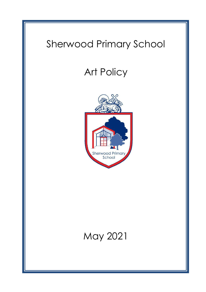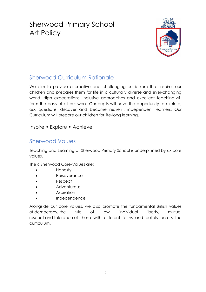# Sherwood Primary School Art Policy



# Sherwood Curriculum Rationale

We aim to provide a creative and challenging curriculum that inspires our children and prepares them for life in a culturally diverse and ever-changing world. High expectations, inclusive approaches and excellent teaching will form the basis of all our work. Our pupils will have the opportunity to explore, ask questions, discover and become resilient, independent learners. Our Curriculum will prepare our children for life-long learning.

Inspire • Explore • Achieve

# Sherwood Values

Teaching and Learning at Sherwood Primary School is underpinned by six core values.

The 6 Sherwood Core-Values are:

- Honesty
- Perseverance
- Respect
- Adventurous
- Aspiration
- Independence

Alongside our core values, we also promote the fundamental British values of democracy, the rule of law, individual liberty, mutual respect and tolerance of those with different faiths and beliefs across the curriculum.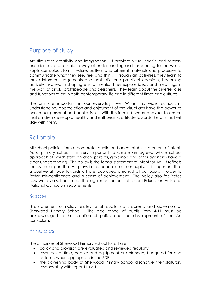# Purpose of study

Art stimulates creativity and imagination. It provides visual, tactile and sensory experiences and a unique way of understanding and responding to the world. Pupils use colour, form, texture, pattern and different materials and processes to communicate what they see, feel and think. Through art activities, they learn to make informed judgements and aesthetic and practical decisions, becoming actively involved in shaping environments. They explore ideas and meanings in the work of artists, craftspeople and designers. They learn about the diverse roles and functions of art in both contemporary life and in different times and cultures.

The arts are important in our everyday lives. Within this wider curriculum, understanding, appreciation and enjoyment of the visual arts have the power to enrich our personal and public lives. With this in mind, we endeavour to ensure that children develop a healthy and enthusiastic attitude towards the arts that will stay with them.

#### Rationale

All school policies form a corporate, public and accountable statement of intent. As a primary school it is very important to create an agreed whole school approach of which staff, children, parents, governors and other agencies have a clear understanding. This policy is the formal statement of intent for Art. It reflects the essential part that Art plays in the education of our pupils. It is important that a positive attitude towards art is encouraged amongst all our pupils in order to foster self-confidence and a sense of achievement. The policy also facilitates how we, as a school, meet the legal requirements of recent Education Acts and National Curriculum requirements.

#### Scope

This statement of policy relates to all pupils, staff, parents and governors of Sherwood Primary School. The age range of pupils from 4-11 must be acknowledged in the creation of policy and the development of the Art curriculum.

# **Principles**

The principles of Sherwood Primary School for art are:

- policy and provision are evaluated and reviewed regularly.
- resources of time, people and equipment are planned, budgeted for and detailed when appropriate in the SDP.
- the governing body of Sherwood Primary School discharge their statutory responsibility with regard to Art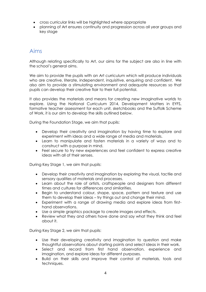- cross curricular links will be highlighted where appropriate
- planning of Art ensures continuity and progression across all year groups and key stage

#### Aims

Although relating specifically to Art, our aims for the subject are also in line with the school's general aims.

We aim to provide the pupils with an Art curriculum which will produce individuals who are creative, literate, independent, inquisitive, enquiring and confident. We also aim to provide a stimulating environment and adequate resources so that pupils can develop their creative flair to their full potential.

It also provides the materials and means for creating new imaginative worlds to explore. Using the National Curriculum 2014, Development Matters in EYFS, formative teacher assessment for each unit, sketchbooks and the Suffolk Scheme of Work, it is our aim to develop the skills outlined below.

During the Foundation Stage, we aim that pupils:

- Develop their creativity and imagination by having time to explore and experiment with ideas and a wide range of media and materials.
- Learn to manipulate and fasten materials in a variety of ways and to construct with a purpose in mind.
- Feel secure to try new experiences and feel confident to express creative ideas with all of their senses.

During Key Stage 1, we aim that pupils:

- Develop their creativity and imagination by exploring the visual, tactile and sensory qualities of materials and processes.
- Learn about the role of artists, craftspeople and designers from different times and cultures for differences and similarities.
- Begin to understand colour, shape, space, pattern and texture and use them to develop their ideas – try things out and change their mind.
- Experiment with a range of drawing media and explore ideas from firsthand observations.
- Use a simple graphics package to create images and effects.
- Review what they and others have done and say what they think and feel about it.

During Key Stage 2, we aim that pupils:

- Use their developing creativity and imagination to question and make thoughtful observations about starting points and select ideas in their work.
- Select and record from first hand observation, experience and imagination, and explore ideas for different purposes.
- Build on their skills and improve their control of materials, tools and techniques.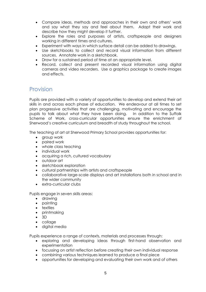- Compare ideas, methods and approaches in their own and others' work and say what they say and feel about them. Adapt their work and describe how they might develop it further.
- Explore the roles and purposes of artists, craftspeople and designers working in different times and cultures.
- Experiment with ways in which surface detail can be added to drawings.
- Use sketchbooks to collect and record visual information from different sources. Annotate work in a sketchbook.
- Draw for a sustained period of time at an appropriate level.
- Record, collect and present recorded visual information using digital cameras and video recorders. Use a graphics package to create images and effects.

#### Provision

Pupils are provided with a variety of opportunities to develop and extend their art skills in and across each phase of education. We endeavour at all times to set plan progressive activities that are challenging, motivating and encourage the pupils to talk about what they have been doing. In addition to the Suffolk Scheme of Work, cross-curricular opportunities ensure the enrichment of Sherwood's creative curriculum and breadth of study throughout the school.

The teaching of art at Sherwood Primary School provides opportunities for:

- group work
- paired work
- whole class teaching
- individual work
- acquiring a rich, cultured vocabulary
- outdoor art
- sketchbook exploration
- cultural partnerships with artists and craftspeople
- collaborative large-scale displays and art installations both in school and in the wider community
- extra-curricular clubs

Pupils engage in seven skills areas:

- drawing
- painting
- textiles
- printmaking
- 3D
- collage
- digital media

Pupils experience a range of contexts, materials and processes through:

- exploring and developing ideas through first-hand observation and experimentation
- focussing on artist reflection before creating their own individual response
- combining various techniques learned to produce a final piece
- opportunities for developing and evaluating their own work and of others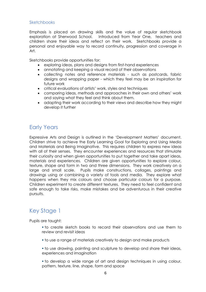#### Sketchbooks

Emphasis is placed on drawing skills and the value of regular sketchbook exploration at Sherwood School. Introduced from Year One, teachers and children share their ideas and reflect on their work. Sketchbooks provide a personal and enjoyable way to record continuity, progression and coverage in Art.

Sketchbooks provide opportunities for:

- exploring ideas, plans and designs from first-hand experiences
- annotating and keeping a visual record of their observations
- collecting notes and reference materials such as postcards, fabric designs and wrapping paper - which they feel may be an inspiration for future work
- critical evaluations of artists' work, styles and techniques
- comparing ideas, methods and approaches in their own and others' work and saying what they feel and think about them.
- adapting their work according to their views and describe how they might develop it further

# Early Years

Expressive Arts and Design is outlined in the 'Development Matters' document. Children strive to achieve the Early Learning Goal for Exploring and Using Media and Materials and Being Imaginative. This requires children to express new ideas with all of their senses. They encounter experiences and resources that stimulate their curiosity and when given opportunities to put together and take apart ideas, materials and experiences. Children are given opportunities to explore colour, texture, shape and form in two and three dimensions. They work creatively on a large and small scale. Pupils make constructions, collages, paintings and drawings using or combining a variety of tools and media. They explore what happens when they mix colours and choose particular colours for a purpose. Children experiment to create different textures. They need to feel confident and safe enough to take risks, make mistakes and be adventurous in their creative pursuits.

# Key Stage 1

Pupils are taught:

- to create sketch books to record their observations and use them to review and revisit ideas
- to use a range of materials creatively to design and make products
- to use drawing, painting and sculpture to develop and share their ideas, experiences and imagination
- to develop a wide range of art and design techniques in using colour, pattern, texture, line, shape, form and space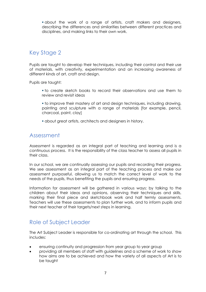▪ about the work of a range of artists, craft makers and designers, describing the differences and similarities between different practices and disciplines, and making links to their own work.

# Key Stage 2

Pupils are taught to develop their techniques, including their control and their use of materials, with creativity, experimentation and an increasing awareness of different kinds of art, craft and design.

Pupils are taught:

- to create sketch books to record their observations and use them to review and revisit ideas
- to improve their mastery of art and design techniques, including drawing, painting and sculpture with a range of materials [for example, pencil, charcoal, paint, clay]
- about great artists, architects and designers in history.

#### Assessment

Assessment is regarded as an integral part of teaching and learning and is a continuous process. It is the responsibility of the class teacher to assess all pupils in their class.

In our school, we are continually assessing our pupils and recording their progress. We see assessment as an integral part of the teaching process and make our assessment purposeful, allowing us to match the correct level of work to the needs of the pupils, thus benefiting the pupils and ensuring progress.

Information for assessment will be gathered in various ways: by talking to the children about their ideas and opinions, observing their techniques and skills, marking their final piece and sketchbook work and half termly assessments. Teachers will use these assessments to plan further work, and to inform pupils and their next teacher of their targets/next steps in learning.

# Role of Subject Leader

The Art Subject Leader is responsible for co-ordinating art through the school. This includes:

- ensuring continuity and progression from year group to year group
- providing all members of staff with guidelines and a scheme of work to show how aims are to be achieved and how the variety of all aspects of Art is to be taught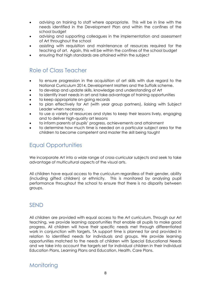- advising on training to staff where appropriate. This will be in line with the needs identified in the Development Plan and within the confines of the school budget
- advising and supporting colleagues in the implementation and assessment of Art throughout the school
- assisting with requisition and maintenance of resources required for the teaching of art. Again, this will be within the confines of the school budget
- ensuring that high standards are attained within the subject

#### Role of Class Teacher

- to ensure progression in the acquisition of art skills with due regard to the National Curriculum 2014, Development Matters and the Suffolk scheme.
- to develop and update skills, knowledge and understanding of Art
- to identify inset needs in art and take advantage of training opportunities
- to keep appropriate on-going records
- to plan effectively for Art (with year group partners), liaising with Subject Leader when necessary.
- to use a variety of resources and styles to keep their lessons lively, engaging and to deliver high-quality art lessons
- to inform parents of pupils' progress, achievements and attainment
- to determine how much time is needed on a particular subject area for the children to become competent and master the skill being taught

# Equal Opportunities

We incorporate Art into a wide range of cross-curricular subjects and seek to take advantage of multicultural aspects of the visual arts.

All children have equal access to the curriculum regardless of their gender, ability (including gifted children) or ethnicity. This is monitored by analysing pupil performance throughout the school to ensure that there is no disparity between groups.

#### SEND

All children are provided with equal access to the Art curriculum. Through our Art teaching, we provide learning opportunities that enable all pupils to make good progress. All children will have their specific needs met through differentiated work in conjunction with targets. TA support time is planned for and provided in relation to identified needs for individuals and groups. We provide learning opportunities matched to the needs of children with Special Educational Needs and we take into account the targets set for individual children in their Individual Education Plans, Learning Plans and Education, Health, Care Plans.

#### **Monitoring**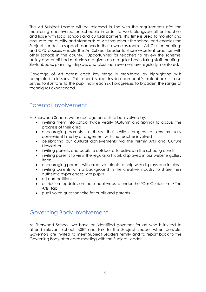The Art Subject Leader will be released in line with the requirements ofof the monitoring and evaluation schedule in order to work alongside other teachers and liaise with local schools and cultural partners. This time is used to monitor and evaluate the quality and standards of Art throughout the school and enables the Subject Leader to support teachers in their own classrooms. Art Cluster meetings and CPD courses enable the Art Subject Leader to share excellent practice with other schools in the county. Opportunities for teachers to review the scheme, policy and published materials are given on a regular basis during staff meetings. Sketchbooks, planning, displays and class achievement are regularly monitored.

Coverage of Art across each key stage is monitored by highlighting skills completed in lessons. This record is kept inside each pupil's sketchbook. It also serves to illustrate to the pupil how each skill progresses to broaden the range of techniques experienced.

# Parental Involvement

At Sherwood School, we encourage parents to be involved by:

- inviting them into school twice yearly (Autumn and Spring) to discuss the progress of their child
- encouraging parents to discuss their child's progress at any mutually convenient time by arrangement with the teacher involved
- celebrating our cultural achievements via the termly Arts and Culture **Newsletter**
- inviting parents and pupils to outdoor arts festivals in the school grounds
- inviting parents to view the regular art work displayed in our website gallery items
- encouraging parents with creative talents to help with displays and in class
- inviting parents with a background in the creative industry to share their authentic experiences with pupils
- art competitions
- curriculum updates on the school website under the 'Our Curriculum > The Arts' tab
- pupil voice questionnaire for pupils and parents

#### Governing Body Involvement

At Sherwood School, we have an identified governor for art who is invited to attend relevant school INSET and talk to the Subject Leader when possible. Governors are invited to meet Subject Leaders termly and to report back to the Governing Body after each meeting with the Subject Leader.